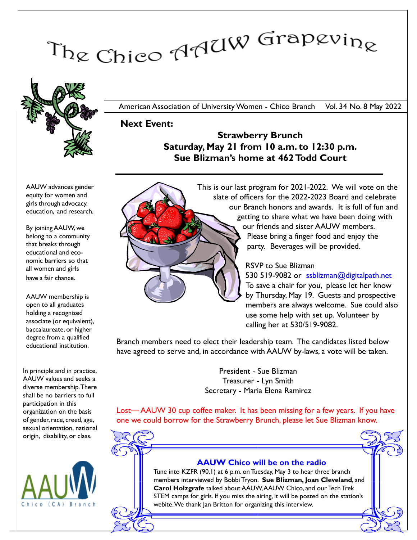# The Chico AAUW Grapevine



American Association of University Women - Chico Branch Vol. 34 No. 8 May 2022

Next Event:

Strawberry Brunch Saturday, May 21 from 10 a.m. to 12:30 p.m. Sue Blizman's home at 462 Todd Court



By joining AAUW, we belong to a community that breaks through educational and economic barriers so that all women and girls have a fair chance.

AAUW membership is open to all graduates holding a recognized associate (or equivalent), baccalaureate, or higher degree from a qualified educational institution.

In principle and in practice, AAUW values and seeks a diverse membership. There shall be no barriers to full participation in this organization on the basis of gender, race, creed, age, sexual orientation, national origin, disability, or class.



This is our last program for 2021-2022. We will vote on the slate of officers for the 2022-2023 Board and celebrate our Branch honors and awards. It is full of fun and getting to share what we have been doing with our friends and sister AAUW members. Please bring a finger food and enjoy the party. Beverages will be provided.

## RSVP to Sue Blizman

530 519-9082 or ssblizman@digitalpath.net To save a chair for you, please let her know by Thursday, May 19. Guests and prospective members are always welcome. Sue could also use some help with set up. Volunteer by calling her at 530/519-9082.

Branch members need to elect their leadership team. The candidates listed below have agreed to serve and, in accordance with AAUW by-laws, a vote will be taken.

> President - Sue Blizman Treasurer - Lyn Smith Secretary - Maria Elena Ramirez

Lost— AAUW 30 cup coffee maker. It has been missing for a few years. If you have one we could borrow for the Strawberry Brunch, please let Sue Blizman know.



## AAUW Chico will be on the radio

Tune into KZFR (90.1) at 6 p.m. on Tuesday, May 3 to hear three branch members interviewed by Bobbi Tryon. Sue Blizman, Joan Cleveland, and Carol Holzgrafe talked about AAUW, AAUW Chico, and our Tech Trek STEM camps for girls. If you miss the airing, it will be posted on the station's webite. We thank Jan Britton for organizing this interview.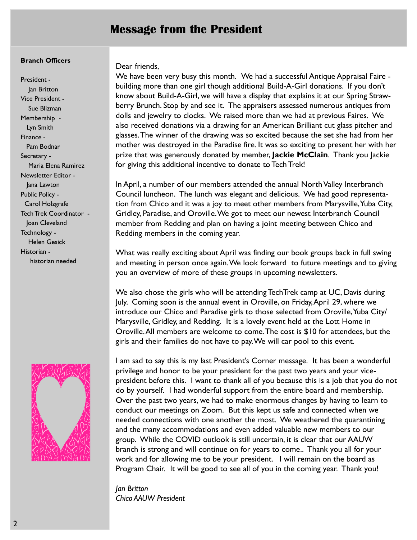# Message from the President

#### Branch Officers

President - Jan Britton Vice President - Sue Blizman Membership - Lyn Smith Finance - Pam Bodnar Secretary - Maria Elena Ramirez Newsletter Editor - Jana Lawton Public Policy - Carol Holzgrafe Tech Trek Coordinator - Joan Cleveland Technology - Helen Gesick Historian historian needed



#### Dear friends,

We have been very busy this month. We had a successful Antique Appraisal Faire building more than one girl though additional Build-A-Girl donations. If you don't know about Build-A-Girl, we will have a display that explains it at our Spring Strawberry Brunch. Stop by and see it. The appraisers assessed numerous antiques from dolls and jewelry to clocks. We raised more than we had at previous Faires. We also received donations via a drawing for an American Brilliant cut glass pitcher and glasses.The winner of the drawing was so excited because the set she had from her mother was destroyed in the Paradise fire. It was so exciting to present her with her prize that was generously donated by member, Jackie McClain. Thank you Jackie for giving this additional incentive to donate to Tech Trek!

In April, a number of our members attended the annual North Valley Interbranch Council luncheon. The lunch was elegant and delicious. We had good representation from Chico and it was a joy to meet other members from Marysville, Yuba City, Gridley, Paradise, and Oroville. We got to meet our newest Interbranch Council member from Redding and plan on having a joint meeting between Chico and Redding members in the coming year.

What was really exciting about April was finding our book groups back in full swing and meeting in person once again. We look forward to future meetings and to giving you an overview of more of these groups in upcoming newsletters.

We also chose the girls who will be attending TechTrek camp at UC, Davis during July. Coming soon is the annual event in Oroville, on Friday, April 29, where we introduce our Chico and Paradise girls to those selected from Oroville, Yuba City/ Marysville, Gridley, and Redding. It is a lovely event held at the Lott Home in Oroville. All members are welcome to come. The cost is \$10 for attendees, but the girls and their families do not have to pay. We will car pool to this event.

I am sad to say this is my last President's Corner message. It has been a wonderful privilege and honor to be your president for the past two years and your vicepresident before this. I want to thank all of you because this is a job that you do not do by yourself. I had wonderful support from the entire board and membership. Over the past two years, we had to make enormous changes by having to learn to conduct our meetings on Zoom. But this kept us safe and connected when we needed connections with one another the most. We weathered the quarantining and the many accommodations and even added valuable new members to our group. While the COVID outlook is still uncertain, it is clear that our AAUW branch is strong and will continue on for years to come.. Thank you all for your work and for allowing me to be your president. I will remain on the board as Program Chair. It will be good to see all of you in the coming year. Thank you!

Jan Britton Chico AAUW President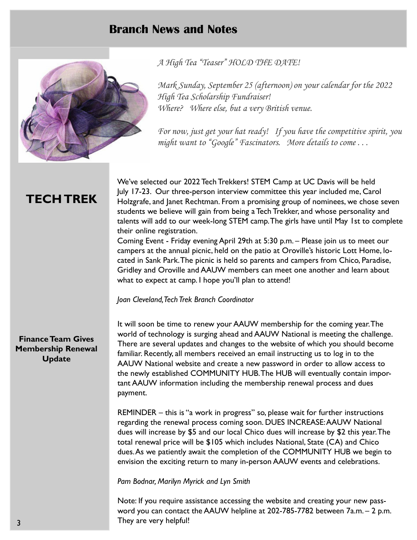# Branch News and Notes



A High Tea "Teaser" HOLD THE DATE!

Mark Sunday, September 25 (afternoon) on your calendar for the 2022 High Tea Scholarship Fundraiser! Where? Where else, but a very British venue.

For now, just get your hat ready! If you have the competitive spirit, you might want to "Google" Fascinators. More details to come...

# TECH TREK

We've selected our 2022 Tech Trekkers! STEM Camp at UC Davis will be held July 17-23. Our three-person interview committee this year included me, Carol Holzgrafe, and Janet Rechtman. From a promising group of nominees, we chose seven students we believe will gain from being a Tech Trekker, and whose personality and talents will add to our week-long STEM camp. The girls have until May 1st to complete their online registration.

Coming Event - Friday evening April 29th at 5:30 p.m. – Please join us to meet our campers at the annual picnic, held on the patio at Oroville's historic Lott Home, located in Sank Park.The picnic is held so parents and campers from Chico, Paradise, Gridley and Oroville and AAUW members can meet one another and learn about what to expect at camp. I hope you'll plan to attend!

Joan Cleveland, Tech Trek Branch Coordinator

## Finance Team Gives Membership Renewal Update

It will soon be time to renew your AAUW membership for the coming year. The world of technology is surging ahead and AAUW National is meeting the challenge. There are several updates and changes to the website of which you should become familiar. Recently, all members received an email instructing us to log in to the AAUW National website and create a new password in order to allow access to the newly established COMMUNITY HUB.The HUB will eventually contain important AAUW information including the membership renewal process and dues payment.

REMINDER – this is "a work in progress" so, please wait for further instructions regarding the renewal process coming soon. DUES INCREASE:AAUW National dues will increase by \$5 and our local Chico dues will increase by \$2 this year. The total renewal price will be \$105 which includes National, State (CA) and Chico dues.As we patiently await the completion of the COMMUNITY HUB we begin to envision the exciting return to many in-person AAUW events and celebrations.

Pam Bodnar, Marilyn Myrick and Lyn Smith

Note: If you require assistance accessing the website and creating your new password you can contact the AAUW helpline at 202-785-7782 between 7a.m. – 2 p.m. They are very helpful!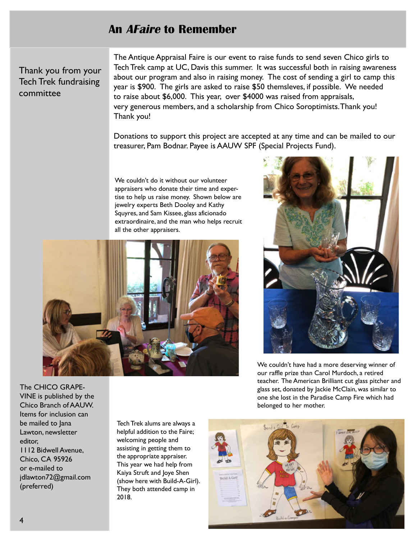## An AFaire to Remember

Thank you from your Tech Trek fundraising committee

The Antique Appraisal Faire is our event to raise funds to send seven Chico girls to Tech Trek camp at UC, Davis this summer. It was successful both in raising awareness about our program and also in raising money. The cost of sending a girl to camp this year is \$900. The girls are asked to raise \$50 themsleves, if possible. We needed to raise about \$6,000. This year, over \$4000 was raised from appraisals, very generous members, and a scholarship from Chico Soroptimists.Thank you! Thank you!

Donations to support this project are accepted at any time and can be mailed to our treasurer, Pam Bodnar. Payee is AAUW SPF (Special Projects Fund).

We couldn't do it without our volunteer appraisers who donate their time and expertise to help us raise money. Shown below are jewelry experts Beth Dooley and Kathy Squyres, and Sam Kissee, glass aficionado extraordinaire, and the man who helps recruit all the other appraisers.





We couldn't have had a more deserving winner of our raffle prize than Carol Murdoch, a retired teacher. The American Brilliant cut glass pitcher and glass set, donated by Jackie McClain, was similar to one she lost in the Paradise Camp Fire which had belonged to her mother.

The CHICO GRAPE-VINE is published by the Chico Branch of AAUW. Items for inclusion can be mailed to Jana Lawton, newsletter editor, 1112 Bidwell Avenue, Chico, CA 95926 or e-mailed to jdlawton72@gmail.com (preferred)

Tech Trek alums are always a helpful addition to the Faire; welcoming people and assisting in getting them to the appropriate appraiser. This year we had help from Kaiya Struft and Joye Shen (show here with Build-A-Girl). They both attended camp in 2018.

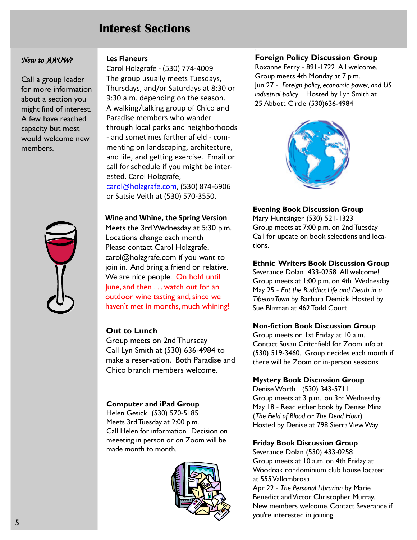# Interest Sections

#### New to AAUW?

Call a group leader for more information about a section you might find of interest. A few have reached capacity but most would welcome new members.



#### Les Flaneurs

Carol Holzgrafe - (530) 774-4009 The group usually meets Tuesdays, Thursdays, and/or Saturdays at 8:30 or 9:30 a.m. depending on the season. A walking/talking group of Chico and Paradise members who wander through local parks and neighborhoods - and sometimes farther afield - commenting on landscaping, architecture, and life, and getting exercise. Email or call for schedule if you might be interested. Carol Holzgrafe, carol@holzgrafe.com, (530) 874-6906 or Satsie Veith at (530) 570-3550.

Wine and Whine, the Spring Version Meets the 3rd Wednesday at 5:30 p.m. Locations change each month Please contact Carol Holzgrafe, carol@holzgrafe.com if you want to join in. And bring a friend or relative. We are nice people. On hold until June, and then . . . watch out for an outdoor wine tasting and, since we haven't met in months, much whining!

## Out to Lunch

Group meets on 2nd Thursday Call Lyn Smith at (530) 636-4984 to make a reservation. Both Paradise and Chico branch members welcome.

## Computer and iPad Group

Helen Gesick (530) 570-5185 Meets 3rd Tuesday at 2:00 p.m. Call Helen for information. Decision on meeeting in person or on Zoom will be made month to month.



## Foreign Policy Discussion Group

.

Roxanne Ferry - 891-1722 All welcome. Group meets 4th Monday at 7 p.m. Jun 27 - Foreign policy, economic power, and US industrial policy Hosted by Lyn Smith at 25 Abbott Circle (530)636-4984



#### Evening Book Discussion Group

Mary Huntsinger (530) 521-1323 Group meets at 7:00 p.m. on 2nd Tuesday Call for update on book selections and locations.

#### Ethnic Writers Book Discussion Group

Severance Dolan 433-0258 All welcome! Group meets at 1:00 p.m. on 4th Wednesday May 25 - Eat the Buddha: Life and Death in a Tibetan Town by Barbara Demick. Hosted by Sue Blizman at 462 Todd Court

#### Non-fiction Book Discussion Group

Group meets on 1st Friday at 10 a.m. Contact Susan Critchfield for Zoom info at (530) 519-3460. Group decides each month if there will be Zoom or in-person sessions

#### Mystery Book Discussion Group

Denise Worth (530) 343-5711 Group meets at 3 p.m. on 3rd Wednesday May 18 - Read either book by Denise Mina (The Field of Blood or The Dead Hour) Hosted by Denise at 798 Sierra View Way

#### Friday Book Discussion Group

Severance Dolan (530) 433-0258 Group meets at 10 a.m. on 4th Friday at Woodoak condominium club house located at 555 Vallombrosa

Apr 22 - The Personal Librarian by Marie Benedict and Victor Christopher Murray. New members welcome. Contact Severance if you're interested in joining.